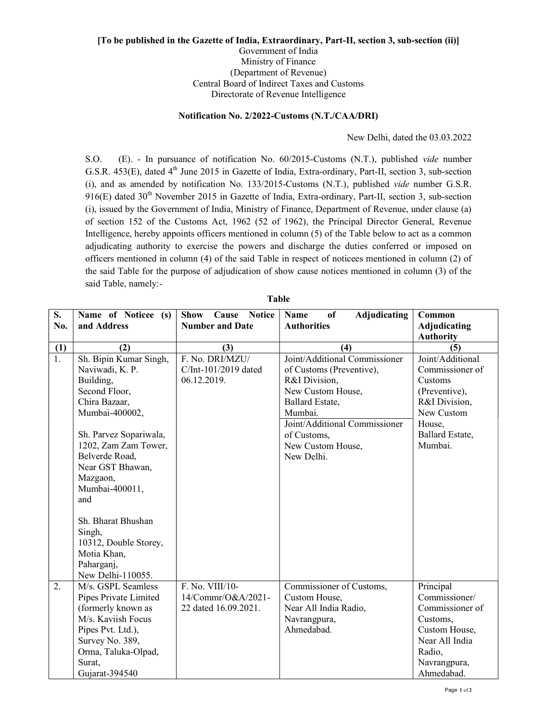## [To be published in the Gazette of India, Extraordinary, Part-II, section 3, sub-section (ii)] Government of India Ministry of Finance (Department of Revenue) Central Board of Indirect Taxes and Customs Directorate of Revenue Intelligence

## Notification No. 2/2022-Customs (N.T./CAA/DRI)

New Delhi, dated the 03.03.2022

S.O. (E). - In pursuance of notification No. 60/2015-Customs (N.T.), published vide number G.S.R. 453(E), dated 4<sup>th</sup> June 2015 in Gazette of India, Extra-ordinary, Part-II, section 3, sub-section (i), and as amended by notification No. 133/2015-Customs (N.T.), published vide number G.S.R. 916(E) dated 30<sup>th</sup> November 2015 in Gazette of India, Extra-ordinary, Part-II, section 3, sub-section (i), issued by the Government of India, Ministry of Finance, Department of Revenue, under clause (a) of section 152 of the Customs Act, 1962 (52 of 1962), the Principal Director General, Revenue Intelligence, hereby appoints officers mentioned in column (5) of the Table below to act as a common adjudicating authority to exercise the powers and discharge the duties conferred or imposed on officers mentioned in column (4) of the said Table in respect of noticees mentioned in column (2) of the said Table for the purpose of adjudication of show cause notices mentioned in column (3) of the said Table, namely:-

| S.               | Name of Noticee (s)    | Cause Notice<br><b>Show</b> | of<br>Adjudicating<br><b>Name</b> | Common              |
|------------------|------------------------|-----------------------------|-----------------------------------|---------------------|
| No.              | and Address            | <b>Number and Date</b>      | <b>Authorities</b>                | <b>Adjudicating</b> |
|                  |                        |                             |                                   | <b>Authority</b>    |
| (1)              | (2)                    | (3)                         | (4)                               | (5)                 |
| $\overline{1}$ . | Sh. Bipin Kumar Singh, | F. No. DRI/MZU/             | Joint/Additional Commissioner     | Joint/Additional    |
|                  | Naviwadi, K. P.        | C/Int-101/2019 dated        | of Customs (Preventive),          | Commissioner of     |
|                  | Building,              | 06.12.2019.                 | R&I Division,                     | Customs             |
|                  | Second Floor,          |                             | New Custom House,                 | (Preventive),       |
|                  | Chira Bazaar,          |                             | Ballard Estate,                   | R&I Division,       |
|                  | Mumbai-400002,         |                             | Mumbai.                           | New Custom          |
|                  |                        |                             | Joint/Additional Commissioner     | House,              |
|                  | Sh. Parvez Sopariwala, |                             | of Customs,                       | Ballard Estate,     |
|                  | 1202, Zam Zam Tower,   |                             | New Custom House,                 | Mumbai.             |
|                  | Belverde Road,         |                             | New Delhi.                        |                     |
|                  | Near GST Bhawan,       |                             |                                   |                     |
|                  | Mazgaon,               |                             |                                   |                     |
|                  | Mumbai-400011,         |                             |                                   |                     |
|                  | and                    |                             |                                   |                     |
|                  |                        |                             |                                   |                     |
|                  | Sh. Bharat Bhushan     |                             |                                   |                     |
|                  | Singh,                 |                             |                                   |                     |
|                  | 10312, Double Storey,  |                             |                                   |                     |
|                  | Motia Khan,            |                             |                                   |                     |
|                  | Paharganj,             |                             |                                   |                     |
|                  | New Delhi-110055.      |                             |                                   |                     |
| 2.               | M/s. GSPL Seamless     | F. No. VIII/10-             | Commissioner of Customs,          | Principal           |
|                  | Pipes Private Limited  | 14/Commr/O&A/2021-          | Custom House,                     | Commissioner/       |
|                  | (formerly known as     | 22 dated 16.09.2021.        | Near All India Radio,             | Commissioner of     |
|                  | M/s. Kaviish Focus     |                             | Navrangpura,                      | Customs,            |
|                  | Pipes Pvt. Ltd.),      |                             | Ahmedabad.                        | Custom House,       |
|                  | Survey No. 389,        |                             |                                   | Near All India      |
|                  | Orma, Taluka-Olpad,    |                             |                                   | Radio,              |
|                  | Surat,                 |                             |                                   | Navrangpura,        |
|                  | Gujarat-394540         |                             |                                   | Ahmedabad.          |

Table